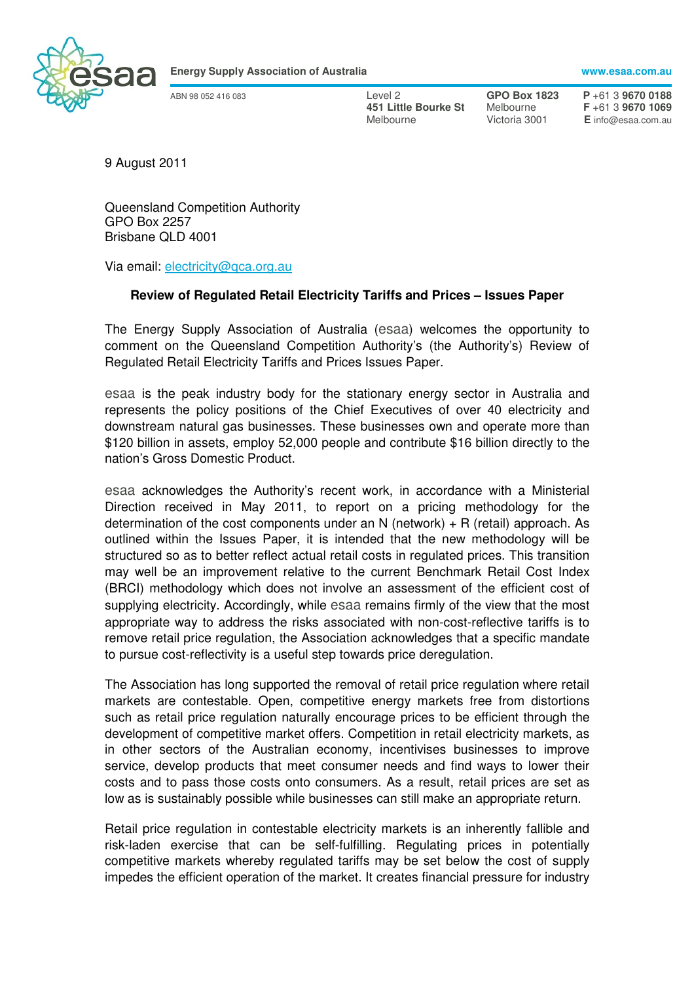

**Energy Supply Association of Australia www.esaa.com.au** 

ABN 98 052 416 083 Level 2 **GPO Box 1823 P** +61 3 **9670 0188 451 Little Bourke St** Melbourne Victoria 3001 **E** info@esaa.com.au

9 August 2011

Queensland Competition Authority GPO Box 2257 Brisbane QLD 4001

Via email: electricity@qca.org.au

## **Review of Regulated Retail Electricity Tariffs and Prices – Issues Paper**

The Energy Supply Association of Australia (esaa) welcomes the opportunity to comment on the Queensland Competition Authority's (the Authority's) Review of Regulated Retail Electricity Tariffs and Prices Issues Paper.

esaa is the peak industry body for the stationary energy sector in Australia and represents the policy positions of the Chief Executives of over 40 electricity and downstream natural gas businesses. These businesses own and operate more than \$120 billion in assets, employ 52,000 people and contribute \$16 billion directly to the nation's Gross Domestic Product.

esaa acknowledges the Authority's recent work, in accordance with a Ministerial Direction received in May 2011, to report on a pricing methodology for the determination of the cost components under an N (network)  $+ R$  (retail) approach. As outlined within the Issues Paper, it is intended that the new methodology will be structured so as to better reflect actual retail costs in regulated prices. This transition may well be an improvement relative to the current Benchmark Retail Cost Index (BRCI) methodology which does not involve an assessment of the efficient cost of supplying electricity. Accordingly, while esaa remains firmly of the view that the most appropriate way to address the risks associated with non-cost-reflective tariffs is to remove retail price regulation, the Association acknowledges that a specific mandate to pursue cost-reflectivity is a useful step towards price deregulation.

The Association has long supported the removal of retail price regulation where retail markets are contestable. Open, competitive energy markets free from distortions such as retail price regulation naturally encourage prices to be efficient through the development of competitive market offers. Competition in retail electricity markets, as in other sectors of the Australian economy, incentivises businesses to improve service, develop products that meet consumer needs and find ways to lower their costs and to pass those costs onto consumers. As a result, retail prices are set as low as is sustainably possible while businesses can still make an appropriate return.

Retail price regulation in contestable electricity markets is an inherently fallible and risk-laden exercise that can be self-fulfilling. Regulating prices in potentially competitive markets whereby regulated tariffs may be set below the cost of supply impedes the efficient operation of the market. It creates financial pressure for industry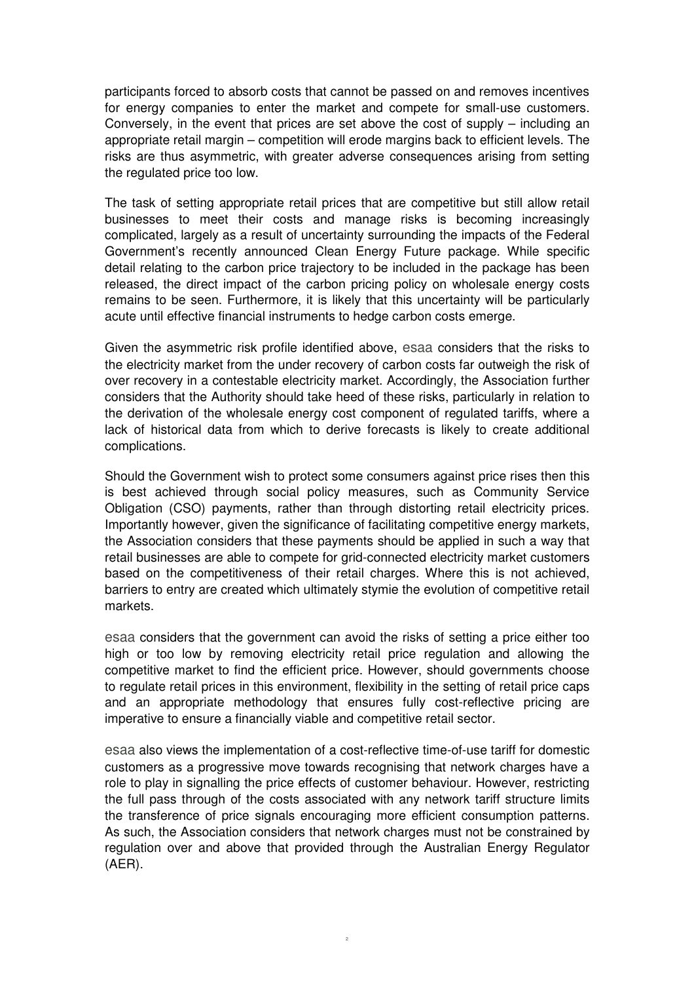participants forced to absorb costs that cannot be passed on and removes incentives for energy companies to enter the market and compete for small-use customers. Conversely, in the event that prices are set above the cost of supply – including an appropriate retail margin – competition will erode margins back to efficient levels. The risks are thus asymmetric, with greater adverse consequences arising from setting the regulated price too low.

The task of setting appropriate retail prices that are competitive but still allow retail businesses to meet their costs and manage risks is becoming increasingly complicated, largely as a result of uncertainty surrounding the impacts of the Federal Government's recently announced Clean Energy Future package. While specific detail relating to the carbon price trajectory to be included in the package has been released, the direct impact of the carbon pricing policy on wholesale energy costs remains to be seen. Furthermore, it is likely that this uncertainty will be particularly acute until effective financial instruments to hedge carbon costs emerge.

Given the asymmetric risk profile identified above, esaa considers that the risks to the electricity market from the under recovery of carbon costs far outweigh the risk of over recovery in a contestable electricity market. Accordingly, the Association further considers that the Authority should take heed of these risks, particularly in relation to the derivation of the wholesale energy cost component of regulated tariffs, where a lack of historical data from which to derive forecasts is likely to create additional complications.

Should the Government wish to protect some consumers against price rises then this is best achieved through social policy measures, such as Community Service Obligation (CSO) payments, rather than through distorting retail electricity prices. Importantly however, given the significance of facilitating competitive energy markets, the Association considers that these payments should be applied in such a way that retail businesses are able to compete for grid-connected electricity market customers based on the competitiveness of their retail charges. Where this is not achieved, barriers to entry are created which ultimately stymie the evolution of competitive retail markets.

esaa considers that the government can avoid the risks of setting a price either too high or too low by removing electricity retail price regulation and allowing the competitive market to find the efficient price. However, should governments choose to regulate retail prices in this environment, flexibility in the setting of retail price caps and an appropriate methodology that ensures fully cost-reflective pricing are imperative to ensure a financially viable and competitive retail sector.

esaa also views the implementation of a cost-reflective time-of-use tariff for domestic customers as a progressive move towards recognising that network charges have a role to play in signalling the price effects of customer behaviour. However, restricting the full pass through of the costs associated with any network tariff structure limits the transference of price signals encouraging more efficient consumption patterns. As such, the Association considers that network charges must not be constrained by regulation over and above that provided through the Australian Energy Regulator (AER).